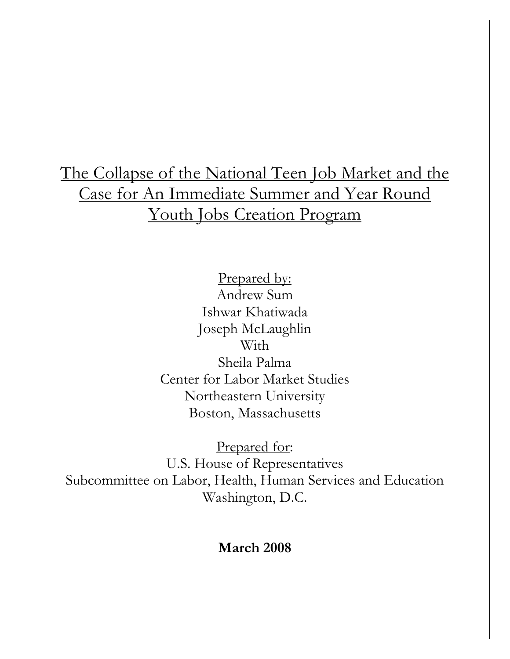## The Collapse of the National Teen Job Market and the Case for An Immediate Summer and Year Round Youth Jobs Creation Program

Prepared by: Andrew Sum Ishwar Khatiwada Joseph McLaughlin With Sheila Palma Center for Labor Market Studies Northeastern University Boston, Massachusetts

Prepared for: U.S. House of Representatives Subcommittee on Labor, Health, Human Services and Education Washington, D.C.

## **March 2008**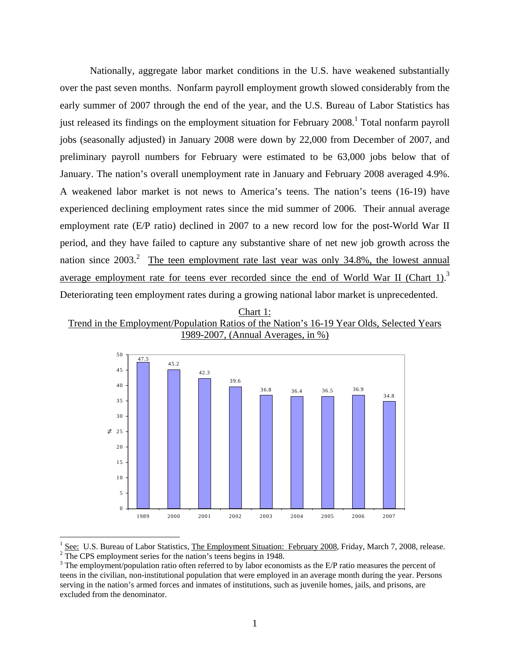Nationally, aggregate labor market conditions in the U.S. have weakened substantially over the past seven months. Nonfarm payroll employment growth slowed considerably from the early summer of 2007 through the end of the year, and the U.S. Bureau of Labor Statistics has just released its findings on the employment situation for February 2008.<sup>1</sup> Total nonfarm payroll jobs (seasonally adjusted) in January 2008 were down by 22,000 from December of 2007, and preliminary payroll numbers for February were estimated to be 63,000 jobs below that of January. The nation's overall unemployment rate in January and February 2008 averaged 4.9%. A weakened labor market is not news to America's teens. The nation's teens (16-19) have experienced declining employment rates since the mid summer of 2006. Their annual average employment rate (E/P ratio) declined in 2007 to a new record low for the post-World War II period, and they have failed to capture any substantive share of net new job growth across the nation since  $2003$ <sup>2</sup>. The teen employment rate last year was only 34.8%, the lowest annual average employment rate for teens ever recorded since the end of World War II (Chart 1).<sup>3</sup> Deteriorating teen employment rates during a growing national labor market is unprecedented.





<sup>1</sup> See: U.S. Bureau of Labor Statistics, The Employment Situation: February 2008, Friday, March 7, 2008, release.  $\frac{1}{2}$ The CPS employment series for the nation's teens begins in 1948.

 $\overline{a}$ 

 $3$  The employment/population ratio often referred to by labor economists as the E/P ratio measures the percent of teens in the civilian, non-institutional population that were employed in an average month during the year. Persons serving in the nation's armed forces and inmates of institutions, such as juvenile homes, jails, and prisons, are excluded from the denominator.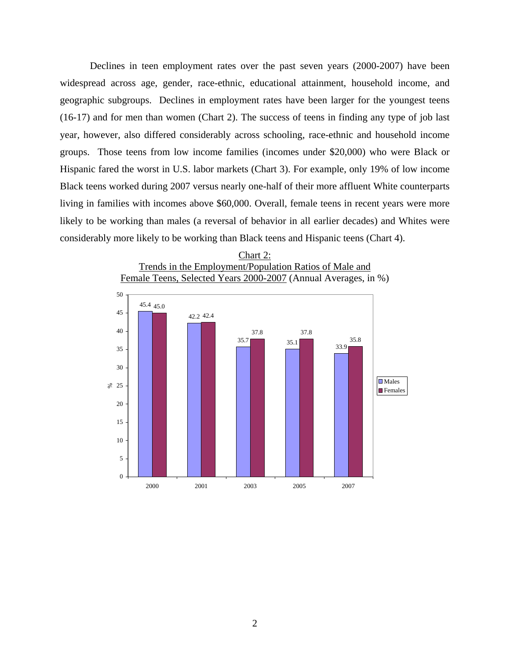Declines in teen employment rates over the past seven years (2000-2007) have been widespread across age, gender, race-ethnic, educational attainment, household income, and geographic subgroups. Declines in employment rates have been larger for the youngest teens (16-17) and for men than women (Chart 2). The success of teens in finding any type of job last year, however, also differed considerably across schooling, race-ethnic and household income groups. Those teens from low income families (incomes under \$20,000) who were Black or Hispanic fared the worst in U.S. labor markets (Chart 3). For example, only 19% of low income Black teens worked during 2007 versus nearly one-half of their more affluent White counterparts living in families with incomes above \$60,000. Overall, female teens in recent years were more likely to be working than males (a reversal of behavior in all earlier decades) and Whites were considerably more likely to be working than Black teens and Hispanic teens (Chart 4).



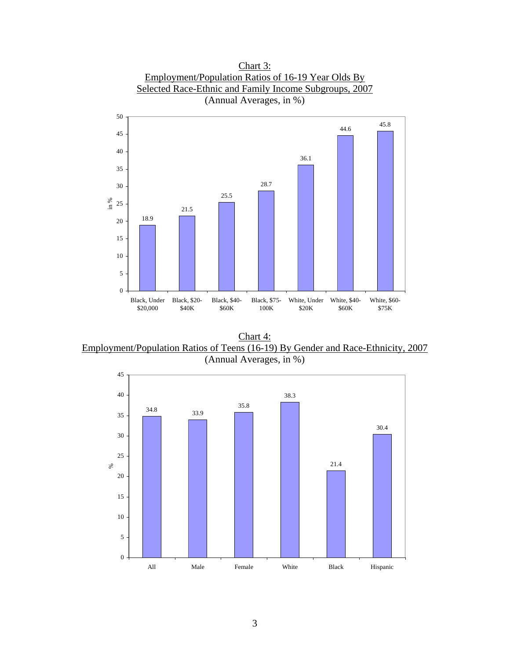

Chart 4: Employment/Population Ratios of Teens (16-19) By Gender and Race-Ethnicity, 2007 (Annual Averages, in %)

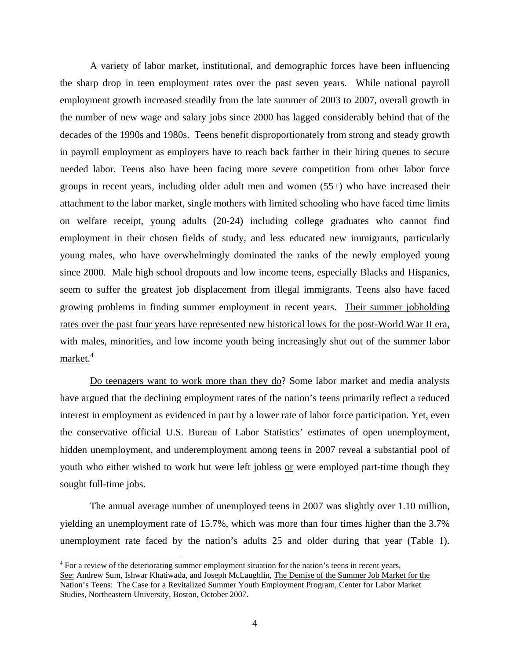A variety of labor market, institutional, and demographic forces have been influencing the sharp drop in teen employment rates over the past seven years. While national payroll employment growth increased steadily from the late summer of 2003 to 2007, overall growth in the number of new wage and salary jobs since 2000 has lagged considerably behind that of the decades of the 1990s and 1980s. Teens benefit disproportionately from strong and steady growth in payroll employment as employers have to reach back farther in their hiring queues to secure needed labor. Teens also have been facing more severe competition from other labor force groups in recent years, including older adult men and women (55+) who have increased their attachment to the labor market, single mothers with limited schooling who have faced time limits on welfare receipt, young adults (20-24) including college graduates who cannot find employment in their chosen fields of study, and less educated new immigrants, particularly young males, who have overwhelmingly dominated the ranks of the newly employed young since 2000. Male high school dropouts and low income teens, especially Blacks and Hispanics, seem to suffer the greatest job displacement from illegal immigrants. Teens also have faced growing problems in finding summer employment in recent years. Their summer jobholding rates over the past four years have represented new historical lows for the post-World War II era, with males, minorities, and low income youth being increasingly shut out of the summer labor  $market.<sup>4</sup>$ 

Do teenagers want to work more than they do? Some labor market and media analysts have argued that the declining employment rates of the nation's teens primarily reflect a reduced interest in employment as evidenced in part by a lower rate of labor force participation. Yet, even the conservative official U.S. Bureau of Labor Statistics' estimates of open unemployment, hidden unemployment, and underemployment among teens in 2007 reveal a substantial pool of youth who either wished to work but were left jobless or were employed part-time though they sought full-time jobs.

The annual average number of unemployed teens in 2007 was slightly over 1.10 million, yielding an unemployment rate of 15.7%, which was more than four times higher than the 3.7% unemployment rate faced by the nation's adults 25 and older during that year (Table 1).

<u>.</u>

 $4$  For a review of the deteriorating summer employment situation for the nation's teens in recent years, See: Andrew Sum, Ishwar Khatiwada, and Joseph McLaughlin, The Demise of the Summer Job Market for the Nation's Teens: The Case for a Revitalized Summer Youth Employment Program, Center for Labor Market Studies, Northeastern University, Boston, October 2007.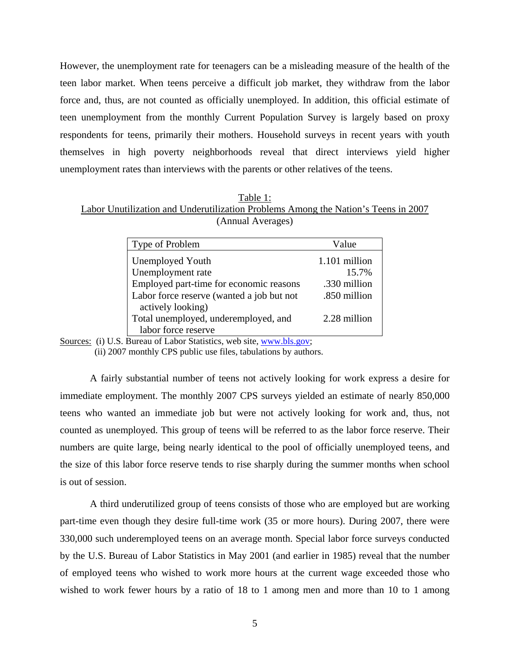However, the unemployment rate for teenagers can be a misleading measure of the health of the teen labor market. When teens perceive a difficult job market, they withdraw from the labor force and, thus, are not counted as officially unemployed. In addition, this official estimate of teen unemployment from the monthly Current Population Survey is largely based on proxy respondents for teens, primarily their mothers. Household surveys in recent years with youth themselves in high poverty neighborhoods reveal that direct interviews yield higher unemployment rates than interviews with the parents or other relatives of the teens.

| Table 1:                                                                           |
|------------------------------------------------------------------------------------|
| Labor Unutilization and Underutilization Problems Among the Nation's Teens in 2007 |
| (Annual Averages)                                                                  |

| Type of Problem                           | Value         |
|-------------------------------------------|---------------|
| <b>Unemployed Youth</b>                   | 1.101 million |
| Unemployment rate                         | 15.7%         |
| Employed part-time for economic reasons   | .330 million  |
| Labor force reserve (wanted a job but not | .850 million  |
| actively looking)                         |               |
| Total unemployed, underemployed, and      | 2.28 million  |
| labor force reserve                       |               |

Sources: (i) U.S. Bureau of Labor Statistics, web site, www.bls.gov;

(ii) 2007 monthly CPS public use files, tabulations by authors.

A fairly substantial number of teens not actively looking for work express a desire for immediate employment. The monthly 2007 CPS surveys yielded an estimate of nearly 850,000 teens who wanted an immediate job but were not actively looking for work and, thus, not counted as unemployed. This group of teens will be referred to as the labor force reserve. Their numbers are quite large, being nearly identical to the pool of officially unemployed teens, and the size of this labor force reserve tends to rise sharply during the summer months when school is out of session.

A third underutilized group of teens consists of those who are employed but are working part-time even though they desire full-time work (35 or more hours). During 2007, there were 330,000 such underemployed teens on an average month. Special labor force surveys conducted by the U.S. Bureau of Labor Statistics in May 2001 (and earlier in 1985) reveal that the number of employed teens who wished to work more hours at the current wage exceeded those who wished to work fewer hours by a ratio of 18 to 1 among men and more than 10 to 1 among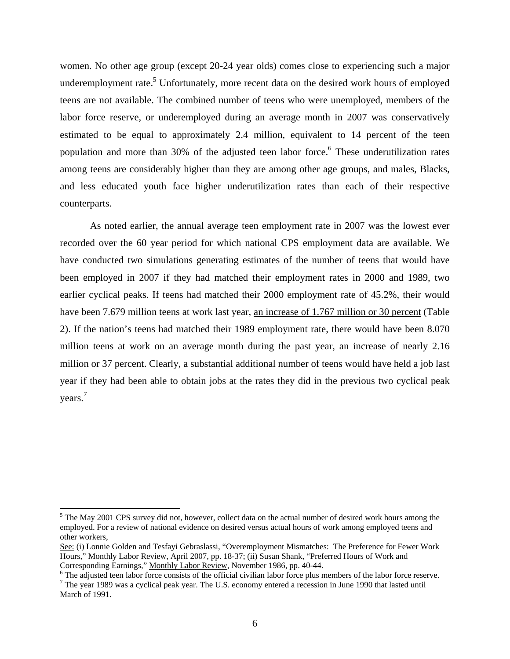women. No other age group (except 20-24 year olds) comes close to experiencing such a major underemployment rate.<sup>5</sup> Unfortunately, more recent data on the desired work hours of employed teens are not available. The combined number of teens who were unemployed, members of the labor force reserve, or underemployed during an average month in 2007 was conservatively estimated to be equal to approximately 2.4 million, equivalent to 14 percent of the teen population and more than 30% of the adjusted teen labor force.<sup>6</sup> These underutilization rates among teens are considerably higher than they are among other age groups, and males, Blacks, and less educated youth face higher underutilization rates than each of their respective counterparts.

As noted earlier, the annual average teen employment rate in 2007 was the lowest ever recorded over the 60 year period for which national CPS employment data are available. We have conducted two simulations generating estimates of the number of teens that would have been employed in 2007 if they had matched their employment rates in 2000 and 1989, two earlier cyclical peaks. If teens had matched their 2000 employment rate of 45.2%, their would have been 7.679 million teens at work last year, an increase of 1.767 million or 30 percent (Table 2). If the nation's teens had matched their 1989 employment rate, there would have been 8.070 million teens at work on an average month during the past year, an increase of nearly 2.16 million or 37 percent. Clearly, a substantial additional number of teens would have held a job last year if they had been able to obtain jobs at the rates they did in the previous two cyclical peak years.<sup>7</sup>

1

<sup>&</sup>lt;sup>5</sup> The May 2001 CPS survey did not, however, collect data on the actual number of desired work hours among the employed. For a review of national evidence on desired versus actual hours of work among employed teens and other workers,

See: (i) Lonnie Golden and Tesfayi Gebraslassi, "Overemployment Mismatches: The Preference for Fewer Work Hours," Monthly Labor Review, April 2007, pp. 18-37; (ii) Susan Shank, "Preferred Hours of Work and Corresponding Earnings," Monthly Labor Review, November 1986, pp. 40-44.

<sup>&</sup>lt;sup>6</sup> The adjusted teen labor force consists of the official civilian labor force plus members of the labor force reserve.

 $7$  The year 1989 was a cyclical peak year. The U.S. economy entered a recession in June 1990 that lasted until March of 1991.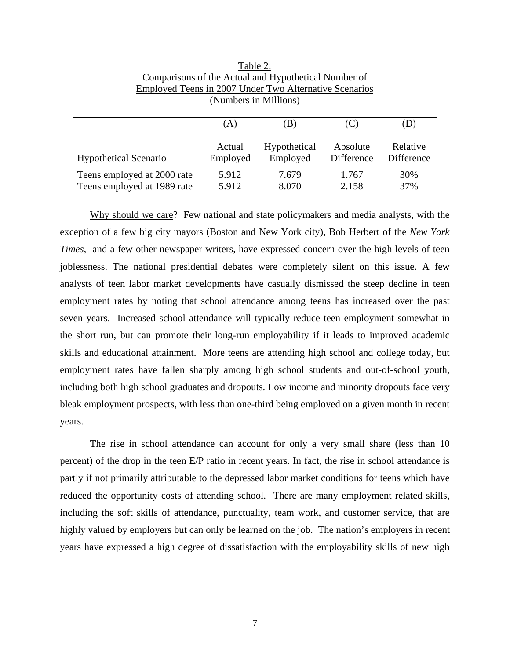|                              | (A)      | (B)          |            | (D)        |
|------------------------------|----------|--------------|------------|------------|
| <b>Hypothetical Scenario</b> | Actual   | Hypothetical | Absolute   | Relative   |
|                              | Employed | Employed     | Difference | Difference |
| Teens employed at 2000 rate  | 5.912    | 7.679        | 1.767      | 30%        |
| Teens employed at 1989 rate  | 5.912    | 8.070        | 2.158      | 37%        |

Table 2: Comparisons of the Actual and Hypothetical Number of Employed Teens in 2007 Under Two Alternative Scenarios (Numbers in Millions)

Why should we care? Few national and state policymakers and media analysts, with the exception of a few big city mayors (Boston and New York city), Bob Herbert of the *New York Times,* and a few other newspaper writers, have expressed concern over the high levels of teen joblessness. The national presidential debates were completely silent on this issue. A few analysts of teen labor market developments have casually dismissed the steep decline in teen employment rates by noting that school attendance among teens has increased over the past seven years. Increased school attendance will typically reduce teen employment somewhat in the short run, but can promote their long-run employability if it leads to improved academic skills and educational attainment. More teens are attending high school and college today, but employment rates have fallen sharply among high school students and out-of-school youth, including both high school graduates and dropouts. Low income and minority dropouts face very bleak employment prospects, with less than one-third being employed on a given month in recent years.

The rise in school attendance can account for only a very small share (less than 10 percent) of the drop in the teen E/P ratio in recent years. In fact, the rise in school attendance is partly if not primarily attributable to the depressed labor market conditions for teens which have reduced the opportunity costs of attending school. There are many employment related skills, including the soft skills of attendance, punctuality, team work, and customer service, that are highly valued by employers but can only be learned on the job. The nation's employers in recent years have expressed a high degree of dissatisfaction with the employability skills of new high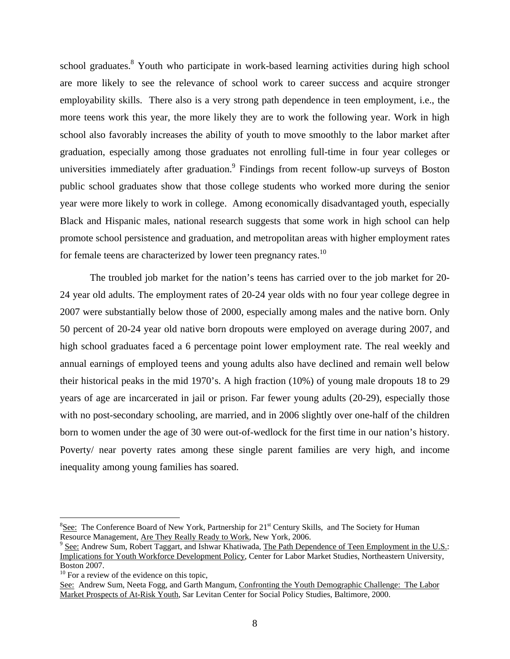school graduates.<sup>8</sup> Youth who participate in work-based learning activities during high school are more likely to see the relevance of school work to career success and acquire stronger employability skills. There also is a very strong path dependence in teen employment, i.e., the more teens work this year, the more likely they are to work the following year. Work in high school also favorably increases the ability of youth to move smoothly to the labor market after graduation, especially among those graduates not enrolling full-time in four year colleges or universities immediately after graduation. Findings from recent follow-up surveys of Boston public school graduates show that those college students who worked more during the senior year were more likely to work in college. Among economically disadvantaged youth, especially Black and Hispanic males, national research suggests that some work in high school can help promote school persistence and graduation, and metropolitan areas with higher employment rates for female teens are characterized by lower teen pregnancy rates.10

The troubled job market for the nation's teens has carried over to the job market for 20- 24 year old adults. The employment rates of 20-24 year olds with no four year college degree in 2007 were substantially below those of 2000, especially among males and the native born. Only 50 percent of 20-24 year old native born dropouts were employed on average during 2007, and high school graduates faced a 6 percentage point lower employment rate. The real weekly and annual earnings of employed teens and young adults also have declined and remain well below their historical peaks in the mid 1970's. A high fraction (10%) of young male dropouts 18 to 29 years of age are incarcerated in jail or prison. Far fewer young adults (20-29), especially those with no post-secondary schooling, are married, and in 2006 slightly over one-half of the children born to women under the age of 30 were out-of-wedlock for the first time in our nation's history. Poverty/ near poverty rates among these single parent families are very high, and income inequality among young families has soared.

1

<sup>&</sup>lt;sup>8</sup>See: The Conference Board of New York, Partnership for 21<sup>st</sup> Century Skills, and The Society for Human Resource Management, Are They Really Ready to Work, New York, 2006.

 $\degree$  See: Andrew Sum, Robert Taggart, and Ishwar Khatiwada, The Path Dependence of Teen Employment in the U.S.: Implications for Youth Workforce Development Policy, Center for Labor Market Studies, Northeastern University, Boston 2007.

<sup>&</sup>lt;sup>10</sup> For a review of the evidence on this topic,

See: Andrew Sum, Neeta Fogg, and Garth Mangum, Confronting the Youth Demographic Challenge: The Labor Market Prospects of At-Risk Youth, Sar Levitan Center for Social Policy Studies, Baltimore, 2000.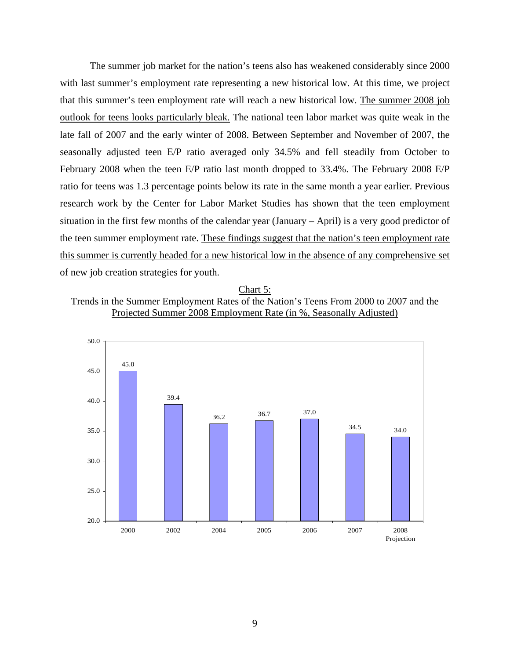The summer job market for the nation's teens also has weakened considerably since 2000 with last summer's employment rate representing a new historical low. At this time, we project that this summer's teen employment rate will reach a new historical low. The summer 2008 job outlook for teens looks particularly bleak. The national teen labor market was quite weak in the late fall of 2007 and the early winter of 2008. Between September and November of 2007, the seasonally adjusted teen E/P ratio averaged only 34.5% and fell steadily from October to February 2008 when the teen E/P ratio last month dropped to 33.4%. The February 2008 E/P ratio for teens was 1.3 percentage points below its rate in the same month a year earlier. Previous research work by the Center for Labor Market Studies has shown that the teen employment situation in the first few months of the calendar year (January – April) is a very good predictor of the teen summer employment rate. These findings suggest that the nation's teen employment rate this summer is currently headed for a new historical low in the absence of any comprehensive set of new job creation strategies for youth.

## Chart 5:

## Trends in the Summer Employment Rates of the Nation's Teens From 2000 to 2007 and the Projected Summer 2008 Employment Rate (in %, Seasonally Adjusted)